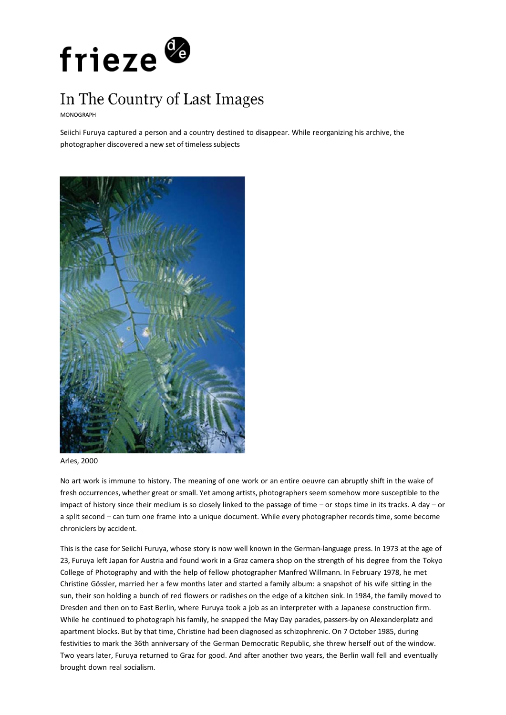

## In The Country of Last Images

MONOGRAPH

Seiichi Furuya captured a person and a country destined to disappear. While reorganizing his archive, the photographer discovered a new set of timeless subjects



Arles, 2000

No art work is immune to history. The meaning of one work or an entire oeuvre can abruptly shift in the wake of fresh occurrences, whether great or small. Yet among artists, photographers seem somehow more susceptible to the impact of history since their medium is so closely linked to the passage of time – or stops time in its tracks. A day – or a split second – can turn one frame into a unique document. While every photographer records time, some become chroniclers by accident.

This is the case for Seiichi Furuya, whose story is now well known in the German-language press. In 1973 at the age of 23, Furuya left Japan for Austria and found work in a Graz camera shop on the strength of his degree from the Tokyo College of Photography and with the help of fellow photographer Manfred Willmann. In February 1978, he met Christine Gössler, married her a few months later and started a family album: a snapshot of his wife sitting in the sun, their son holding a bunch of red flowers or radishes on the edge of a kitchen sink. In 1984, the family moved to Dresden and then on to East Berlin, where Furuya took a job as an interpreter with a Japanese construction firm. While he continued to photograph his family, he snapped the May Day parades, passers-by on Alexanderplatz and apartment blocks. But by that time, Christine had been diagnosed as schizophrenic. On 7 October 1985, during festivities to mark the 36th anniversary of the German Democratic Republic, she threw herself out of the window. Two years later, Furuya returned to Graz for good. And after another two years, the Berlin wall fell and eventually brought down real socialism.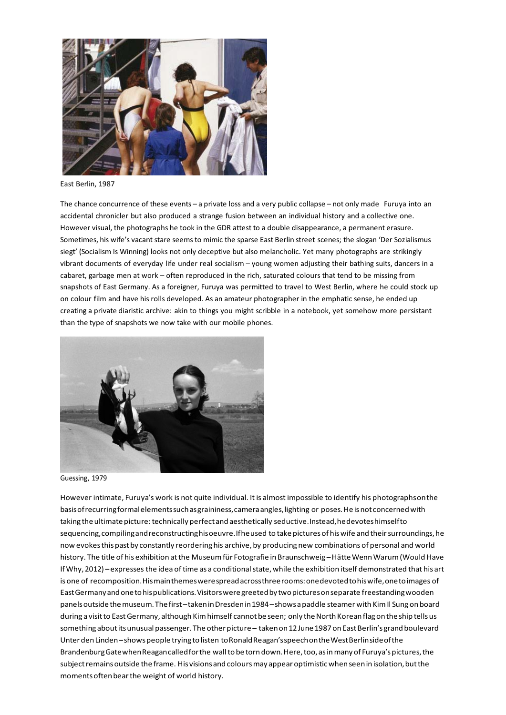

East Berlin, 1987

The chance concurrence of these events – a private loss and a very public collapse – not only made Furuya into an accidental chronicler but also produced a strange fusion between an individual history and a collective one. However visual, the photographs he took in the GDR attest to a double disappearance, a permanent erasure. Sometimes, his wife's vacant stare seems to mimic the sparse East Berlin street scenes; the slogan 'Der Sozialismus siegt' (Socialism Is Winning) looks not only deceptive but also melancholic. Yet many photographs are strikingly vibrant documents of everyday life under real socialism – young women adjusting their bathing suits, dancers in a cabaret, garbage men at work – often reproduced in the rich, saturated colours that tend to be missing from snapshots of East Germany. As a foreigner, Furuya was permitted to travel to West Berlin, where he could stock up on colour film and have his rolls developed. As an amateur photographer in the emphatic sense, he ended up creating a private diaristic archive: akin to things you might scribble in a notebook, yet somehow more persistant than the type of snapshots we now take with our mobile phones.



Guessing, 1979

However intimate, Furuya's work is not quite individual. It is almost impossible to identify his photographs on the basis of recurring formal elements such as graininess, camera angles, lighting or poses. He is not concerned with taking the ultimate picture: technically perfect and aesthetically seductive. Instead, he devotes himself to sequencing, compiling and reconstructing his oeuvre. If he used to take pictures of his wife and their surroundings, he now evokes this past by constantly reordering his archive, by producing new combinations of personal and world history. The title of his exhibition at the Museum für Fotografie in Braunschweig – Hätte Wenn Warum (Would Have If Why, 2012) – expressesthe idea of time as a conditional state, while the exhibition itself demonstrated that his art is one of recomposition. His main themes were spread across three rooms: one devoted to his wife, one to images of East Germany and one to his publications. Visitors were greeted by two pictures on separate freestanding wooden panels outside the museum. The first – taken in Dresden in 1984 – shows a paddle steamer with Kim Il Sung on board during a visit to East Germany, although Kim himself cannot be seen; only the North Korean flag on the ship tells us something about its unusual passenger. The other picture – taken on 12 June 1987 on East Berlin's grand boulevard Unter den Linden – shows people trying to listen to Ronald Reagan's speech on the West Berlin side of the Brandenburg Gate when Reagan called for the wall to be torn down. Here, too, as in many of Furuya's pictures, the subject remains outside the frame. His visions and colours may appear optimistic when seen in isolation, but the moments often bear the weight of world history.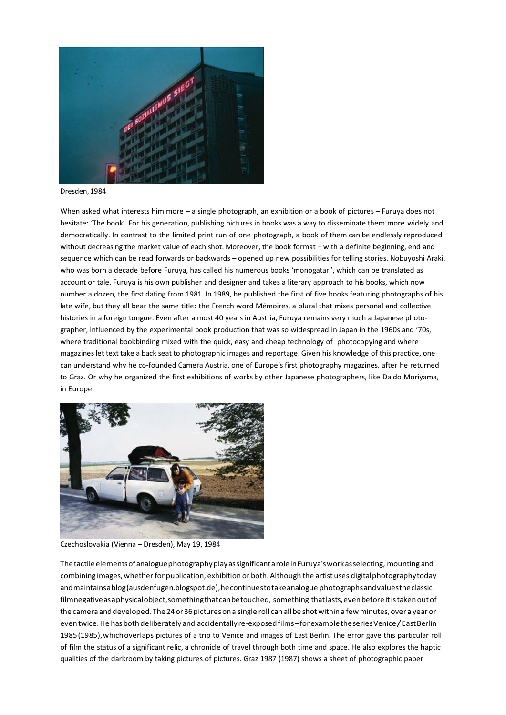

Dresden, 1984

When asked what interests him more – a single photograph, an exhibition or a book of pictures – Furuya does not hesitate: 'The book'. For his generation, publishing pictures in books was a way to disseminate them more widely and democratically. In contrast to the limited print run of one photograph, a book of them can be endlessly reproduced without decreasing the market value of each shot. Moreover, the book format – with a definite beginning, end and sequence which can be read forwards or backwards – opened up new possibilities for telling stories. Nobuyoshi Araki, who was born a decade before Furuya, has called his numerous books 'monogatari', which can be translated as account or tale. Furuya is his own publisher and designer and takes a literary approach to his books, which now number a dozen, the first dating from 1981. In 1989, he published the first of five books featuring photographs of his late wife, but they all bear the same title: the French word Mémoires, a plural that mixes personal and collective histories in a foreign tongue. Even after almost 40 years in Austria, Furuya remains very much a Japanese photographer, influenced by the experimental book production that was so widespread in Japan in the 1960s and '70s, where traditional bookbinding mixed with the quick, easy and cheap technology of photocopying and where magazines let text take a back seat to photographic images and reportage. Given his knowledge of this practice, one can understand why he co-founded Camera Austria, one of Europe's first photography magazines, after he returned to Graz. Or why he organized the first exhibitions of works by other Japanese photographers, like Daido Moriyama, in Europe.



Czechoslovakia (Vienna – Dresden), May 19, 1984

The tactile elements of analogue photography play as significant a role in Furuya's work as selecting, mounting and combining images, whether for publication, exhibition or both. Although the artist uses digital photography today and maintains a blog (ausdenfugen.blogspot.de), he continues to take analogue photographs and values the classic film negative as a physical object, something that can be touched, something that lasts, even before it is taken out of the camera and developed. The 24 or 36 pictures on a single roll can all be shot within a few minutes, over a year or even twice. He has both deliberately and accidentally re-exposed films – for example the series Venice / East Berlin 1985 (1985), which overlaps pictures of a trip to Venice and images of East Berlin. The error gave this particular roll of film the status of a significant relic, a chronicle of travel through both time and space. He also explores the haptic qualities of the darkroom by taking pictures of pictures. Graz 1987 (1987) shows a sheet of photographic paper